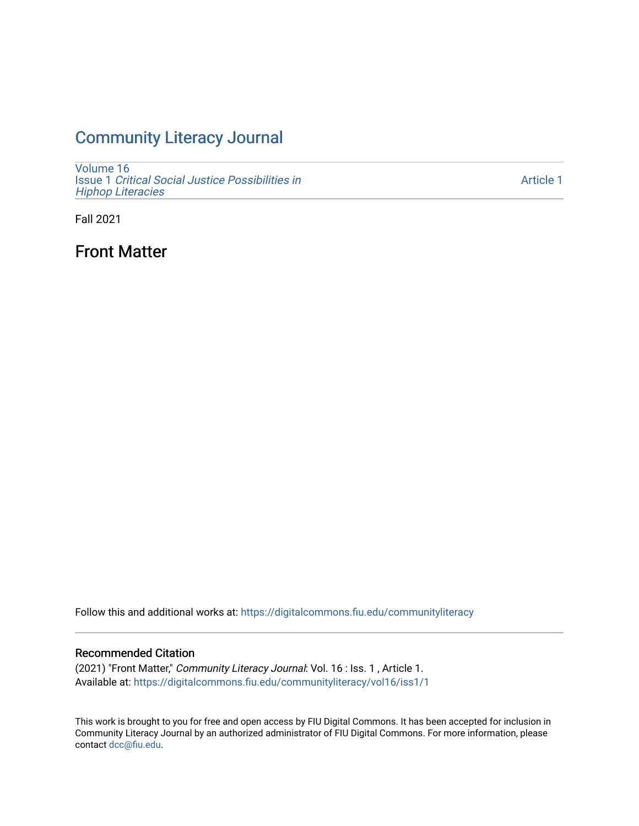## [Community Literacy Journal](https://digitalcommons.fiu.edu/communityliteracy)

[Volume 16](https://digitalcommons.fiu.edu/communityliteracy/vol16) Issue 1 [Critical Social Justice Possibilities in](https://digitalcommons.fiu.edu/communityliteracy/vol16/iss1) [Hiphop Literacies](https://digitalcommons.fiu.edu/communityliteracy/vol16/iss1)

[Article 1](https://digitalcommons.fiu.edu/communityliteracy/vol16/iss1/1) 

Fall 2021

Front Matter

Follow this and additional works at: [https://digitalcommons.fiu.edu/communityliteracy](https://digitalcommons.fiu.edu/communityliteracy?utm_source=digitalcommons.fiu.edu%2Fcommunityliteracy%2Fvol16%2Fiss1%2F1&utm_medium=PDF&utm_campaign=PDFCoverPages)

### Recommended Citation

(2021) "Front Matter," Community Literacy Journal: Vol. 16 : Iss. 1 , Article 1. Available at: [https://digitalcommons.fiu.edu/communityliteracy/vol16/iss1/1](https://digitalcommons.fiu.edu/communityliteracy/vol16/iss1/1?utm_source=digitalcommons.fiu.edu%2Fcommunityliteracy%2Fvol16%2Fiss1%2F1&utm_medium=PDF&utm_campaign=PDFCoverPages) 

This work is brought to you for free and open access by FIU Digital Commons. It has been accepted for inclusion in Community Literacy Journal by an authorized administrator of FIU Digital Commons. For more information, please contact [dcc@fiu.edu](mailto:dcc@fiu.edu).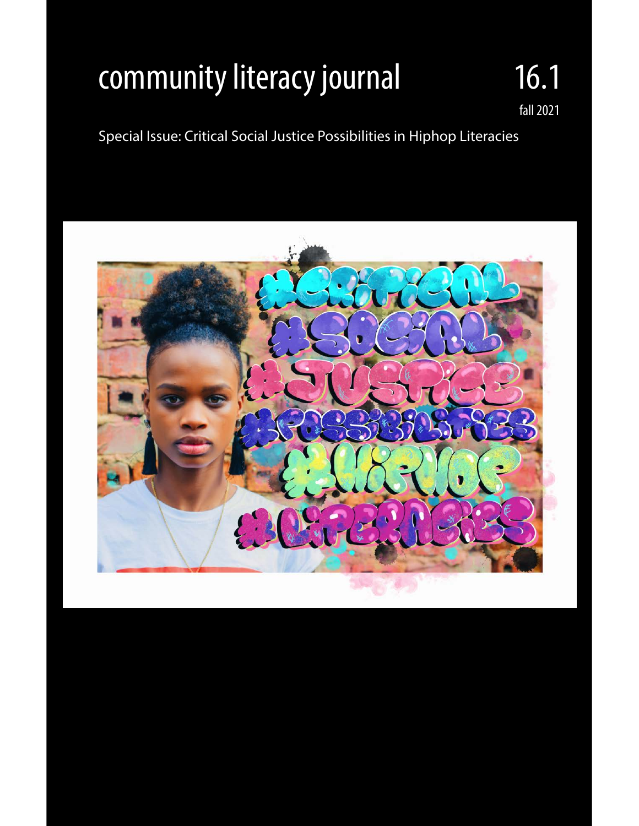## community literacy journal 16.1

fall 2021

Special Issue: Critical Social Justice Possibilities in Hiphop Literacies

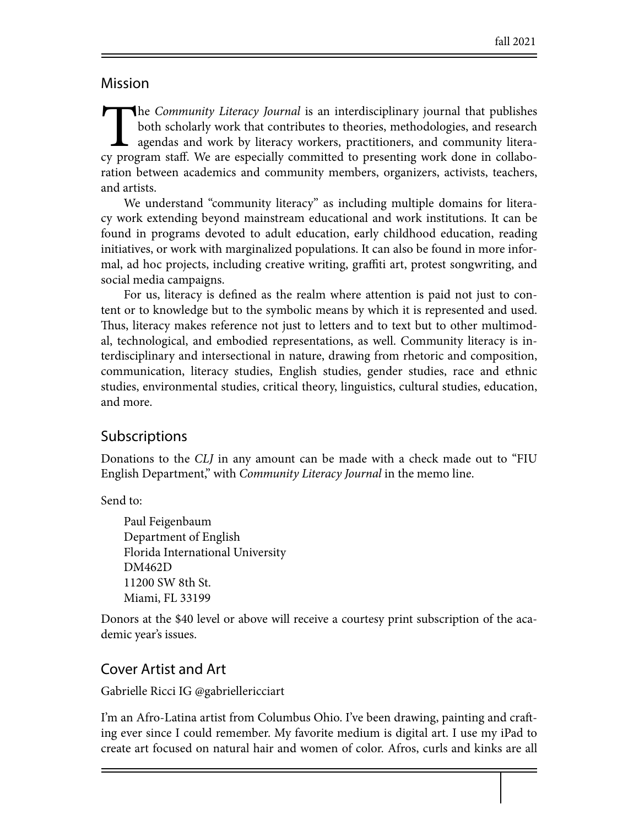## Mission

The *Community Literacy Journal* is an interdisciplinary journal that publishes<br>both scholarly work that contributes to theories, methodologies, and research<br>agendas and work by literacy workers, practitioners, and communi both scholarly work that contributes to theories, methodologies, and research agendas and work by literacy workers, practitioners, and community literacy program staff. We are especially committed to presenting work done in collaboration between academics and community members, organizers, activists, teachers, and artists.

We understand "community literacy" as including multiple domains for literacy work extending beyond mainstream educational and work institutions. It can be found in programs devoted to adult education, early childhood education, reading initiatives, or work with marginalized populations. It can also be found in more informal, ad hoc projects, including creative writing, graffiti art, protest songwriting, and social media campaigns.

For us, literacy is defined as the realm where attention is paid not just to content or to knowledge but to the symbolic means by which it is represented and used. Thus, literacy makes reference not just to letters and to text but to other multimodal, technological, and embodied representations, as well. Community literacy is interdisciplinary and intersectional in nature, drawing from rhetoric and composition, communication, literacy studies, English studies, gender studies, race and ethnic studies, environmental studies, critical theory, linguistics, cultural studies, education, and more.

## Subscriptions

Donations to the *CLJ* in any amount can be made with a check made out to "FIU English Department," with *Community Literacy Journal* in the memo line.

Send to:

Paul Feigenbaum Department of English Florida International University DM462D 11200 SW 8th St. Miami, FL 33199

Donors at the \$40 level or above will receive a courtesy print subscription of the academic year's issues.

## Cover Artist and Art

Gabrielle Ricci IG @gabriellericciart

I'm an Afro-Latina artist from Columbus Ohio. I've been drawing, painting and crafting ever since I could remember. My favorite medium is digital art. I use my iPad to create art focused on natural hair and women of color. Afros, curls and kinks are all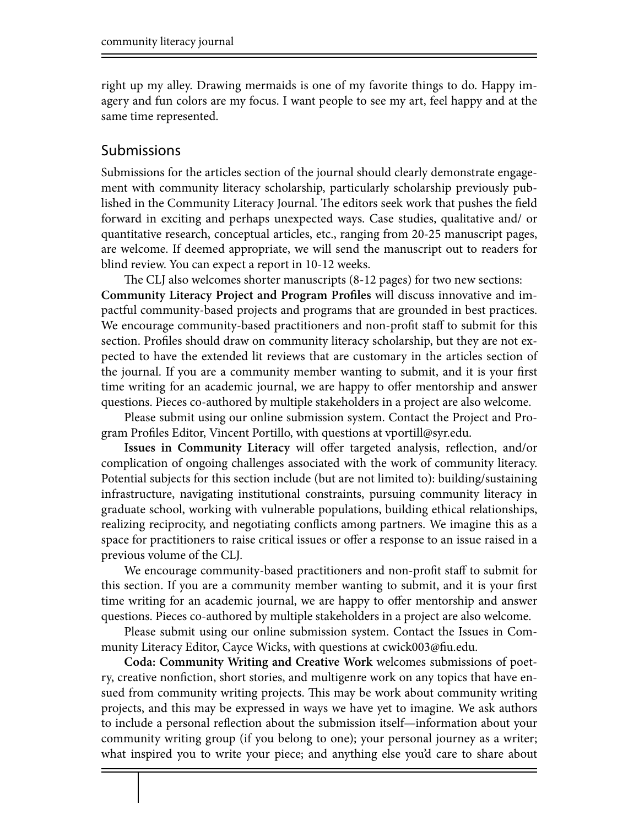right up my alley. Drawing mermaids is one of my favorite things to do. Happy imagery and fun colors are my focus. I want people to see my art, feel happy and at the same time represented.

## Submissions

Submissions for the articles section of the journal should clearly demonstrate engagement with community literacy scholarship, particularly scholarship previously published in the Community Literacy Journal. The editors seek work that pushes the field forward in exciting and perhaps unexpected ways. Case studies, qualitative and/ or quantitative research, conceptual articles, etc., ranging from 20-25 manuscript pages, are welcome. If deemed appropriate, we will send the manuscript out to readers for blind review. You can expect a report in 10-12 weeks.

The CLJ also welcomes shorter manuscripts (8-12 pages) for two new sections: **Community Literacy Project and Program Pro!les** will discuss innovative and impactful community-based projects and programs that are grounded in best practices. We encourage community-based practitioners and non-profit staff to submit for this section. Profiles should draw on community literacy scholarship, but they are not expected to have the extended lit reviews that are customary in the articles section of the journal. If you are a community member wanting to submit, and it is your first time writing for an academic journal, we are happy to offer mentorship and answer questions. Pieces co-authored by multiple stakeholders in a project are also welcome.

Please submit using our online submission system. Contact the Project and Program Profiles Editor, Vincent Portillo, with questions at vportill@syr.edu.

**Issues in Community Literacy** will offer targeted analysis, reflection, and/or complication of ongoing challenges associated with the work of community literacy. Potential subjects for this section include (but are not limited to): building/sustaining infrastructure, navigating institutional constraints, pursuing community literacy in graduate school, working with vulnerable populations, building ethical relationships, realizing reciprocity, and negotiating conflicts among partners. We imagine this as a space for practitioners to raise critical issues or offer a response to an issue raised in a previous volume of the CLJ.

We encourage community-based practitioners and non-profit staff to submit for this section. If you are a community member wanting to submit, and it is your first time writing for an academic journal, we are happy to offer mentorship and answer questions. Pieces co-authored by multiple stakeholders in a project are also welcome.

Please submit using our online submission system. Contact the Issues in Community Literacy Editor, Cayce Wicks, with questions at cwick003@fiu.edu.

**Coda: Community Writing and Creative Work** welcomes submissions of poetry, creative nonfiction, short stories, and multigenre work on any topics that have ensued from community writing projects. This may be work about community writing projects, and this may be expressed in ways we have yet to imagine. We ask authors to include a personal reflection about the submission itself—information about your community writing group (if you belong to one); your personal journey as a writer; what inspired you to write your piece; and anything else you'd care to share about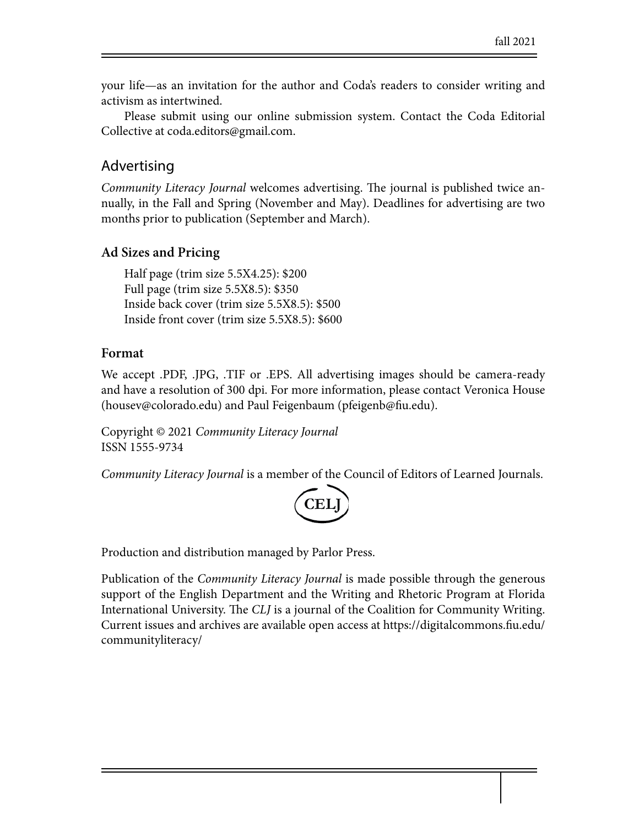your life—as an invitation for the author and Coda's readers to consider writing and activism as intertwined.

Please submit using our online submission system. Contact the Coda Editorial Collective at coda.editors@gmail.com.

## Advertising

*Community Literacy Journal* welcomes advertising. The journal is published twice annually, in the Fall and Spring (November and May). Deadlines for advertising are two months prior to publication (September and March).

## **Ad Sizes and Pricing**

Half page (trim size 5.5X4.25): \$200 Full page (trim size 5.5X8.5): \$350 Inside back cover (trim size 5.5X8.5): \$500 Inside front cover (trim size 5.5X8.5): \$600

## **Format**

We accept .PDF, .JPG, .TIF or .EPS. All advertising images should be camera-ready and have a resolution of 300 dpi. For more information, please contact Veronica House (housev@colorado.edu) and Paul Feigenbaum (pfeigenb@fiu.edu).

Copyright © 2021 *Community Literacy Journal* ISSN 1555-9734

*Community Literacy Journal* is a member of the Council of Editors of Learned Journals.



Production and distribution managed by Parlor Press.

Publication of the *Community Literacy Journal* is made possible through the generous support of the English Department and the Writing and Rhetoric Program at Florida International University. The *CLJ* is a journal of the Coalition for Community Writing. Current issues and archives are available open access at https://digitalcommons.fiu.edu/ communityliteracy/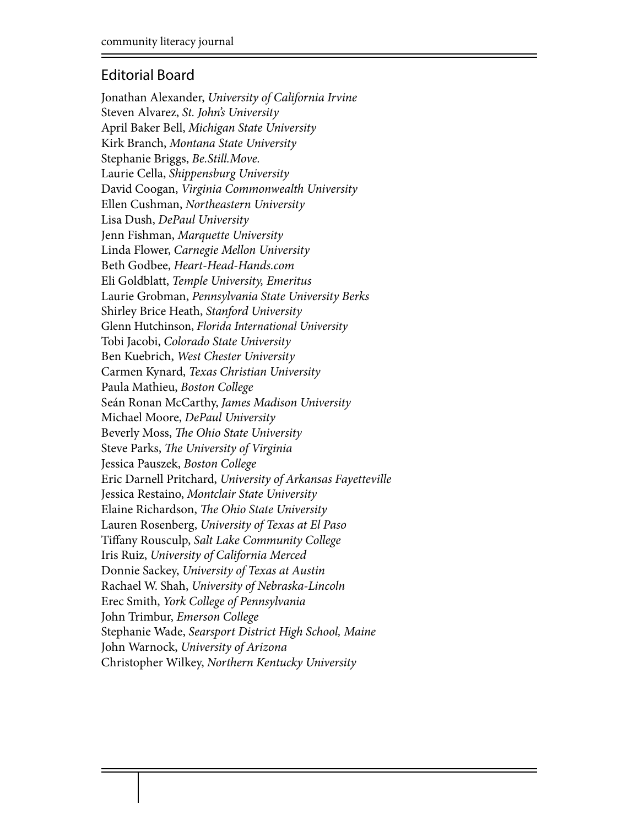## Editorial Board

Jonathan Alexander, *University of California Irvine*  Steven Alvarez, *St. John's University*  April Baker Bell, *Michigan State University*  Kirk Branch, *Montana State University*  Stephanie Briggs, *Be.Still.Move.*  Laurie Cella, *Shippensburg University*  David Coogan, *Virginia Commonwealth University*  Ellen Cushman, *Northeastern University*  Lisa Dush, *DePaul University*  Jenn Fishman, *Marquette University*  Linda Flower, *Carnegie Mellon University*  Beth Godbee, *Heart-Head-Hands.com* Eli Goldblatt, *Temple University, Emeritus* Laurie Grobman, *Pennsylvania State University Berks*  Shirley Brice Heath, *Stanford University* Glenn Hutchinson, *Florida International University* Tobi Jacobi, *Colorado State University*  Ben Kuebrich, *West Chester University*  Carmen Kynard, *Texas Christian University*  Paula Mathieu, *Boston College*  Seán Ronan McCarthy, *James Madison University*  Michael Moore, *DePaul University*  Beverly Moss, *The Ohio State University* Steve Parks, *The University of Virginia* Jessica Pauszek, *Boston College*  Eric Darnell Pritchard, *University of Arkansas Fayetteville* Jessica Restaino, *Montclair State University*  Elaine Richardson, *The Ohio State University* Lauren Rosenberg, *University of Texas at El Paso*  Ti!any Rousculp, *Salt Lake Community College*  Iris Ruiz, *University of California Merced*  Donnie Sackey, *University of Texas at Austin* Rachael W. Shah, *University of Nebraska-Lincoln*  Erec Smith, *York College of Pennsylvania*  John Trimbur, *Emerson College* Stephanie Wade, *Searsport District High School, Maine*  John Warnock, *University of Arizona*  Christopher Wilkey, *Northern Kentucky University*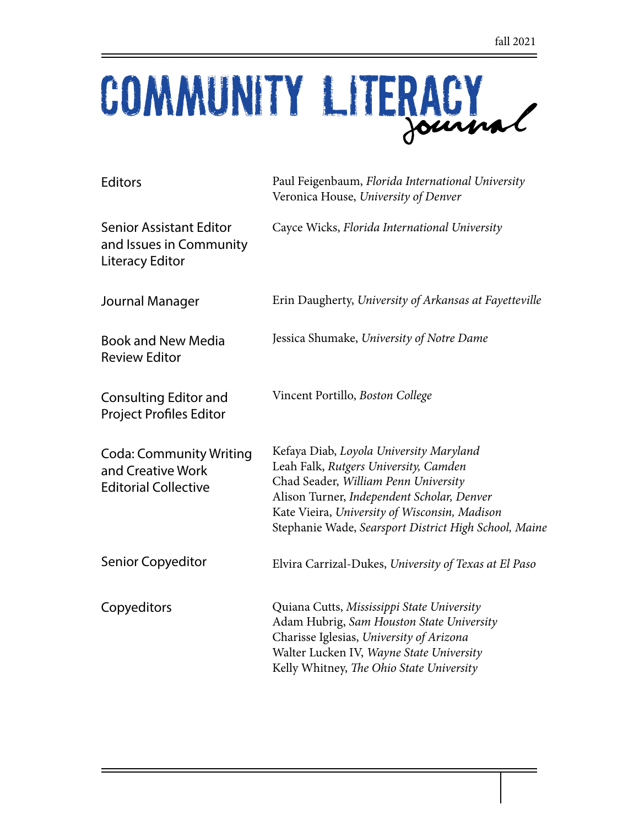## COMMUNITY LITERACY

| Editors                                                                             | Paul Feigenbaum, Florida International University<br>Veronica House, University of Denver                                                                                                                                                                                        |
|-------------------------------------------------------------------------------------|----------------------------------------------------------------------------------------------------------------------------------------------------------------------------------------------------------------------------------------------------------------------------------|
| <b>Senior Assistant Editor</b><br>and Issues in Community<br><b>Literacy Editor</b> | Cayce Wicks, Florida International University                                                                                                                                                                                                                                    |
| Journal Manager                                                                     | Erin Daugherty, University of Arkansas at Fayetteville                                                                                                                                                                                                                           |
| <b>Book and New Media</b><br><b>Review Editor</b>                                   | Jessica Shumake, University of Notre Dame                                                                                                                                                                                                                                        |
| Consulting Editor and<br><b>Project Profiles Editor</b>                             | Vincent Portillo, Boston College                                                                                                                                                                                                                                                 |
| <b>Coda: Community Writing</b><br>and Creative Work<br><b>Editorial Collective</b>  | Kefaya Diab, Loyola University Maryland<br>Leah Falk, Rutgers University, Camden<br>Chad Seader, William Penn University<br>Alison Turner, Independent Scholar, Denver<br>Kate Vieira, University of Wisconsin, Madison<br>Stephanie Wade, Searsport District High School, Maine |
| Senior Copyeditor                                                                   | Elvira Carrizal-Dukes, University of Texas at El Paso                                                                                                                                                                                                                            |
| Copyeditors                                                                         | Quiana Cutts, Mississippi State University<br>Adam Hubrig, Sam Houston State University<br>Charisse Iglesias, University of Arizona<br>Walter Lucken IV, Wayne State University<br>Kelly Whitney, The Ohio State University                                                      |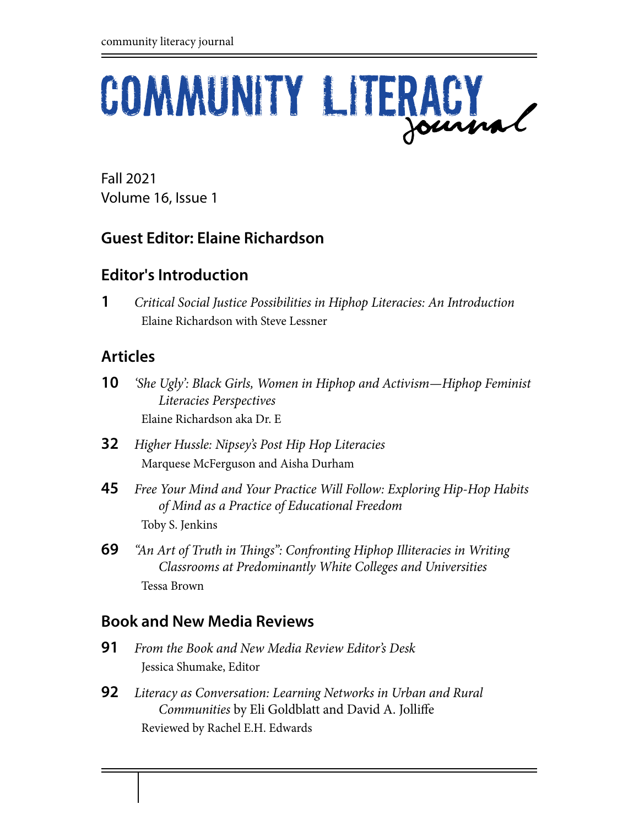# COMMUNITY LITERACY

Fall 2021 Volume 16, Issue 1

## **Guest Editor: Elaine Richardson**

## **Editor's Introduction**

**1** *Critical Social Justice Possibilities in Hiphop Literacies: An Introduction* Elaine Richardson with Steve Lessner

## **Articles**

- **10** *'She Ugly': Black Girls, Women in Hiphop and Activism—Hiphop Feminist Literacies Perspectives* Elaine Richardson aka Dr. E
- **32** *Higher Hussle: Nipsey's Post Hip Hop Literacies* Marquese McFerguson and Aisha Durham
- **45** *Free Your Mind and Your Practice Will Follow: Exploring Hip-Hop Habits of Mind as a Practice of Educational Freedom* Toby S. Jenkins
- **69** *"An Art of Truth in* !*ings": Confronting Hiphop Illiteracies in Writing Classrooms at Predominantly White Colleges and Universities* Tessa Brown

## **Book and New Media Reviews**

- **91** *From the Book and New Media Review Editor's Desk*  Jessica Shumake, Editor
- **92** *Literacy as Conversation: Learning Networks in Urban and Rural Communities* by Eli Goldblatt and David A. Jolliffe Reviewed by Rachel E.H. Edwards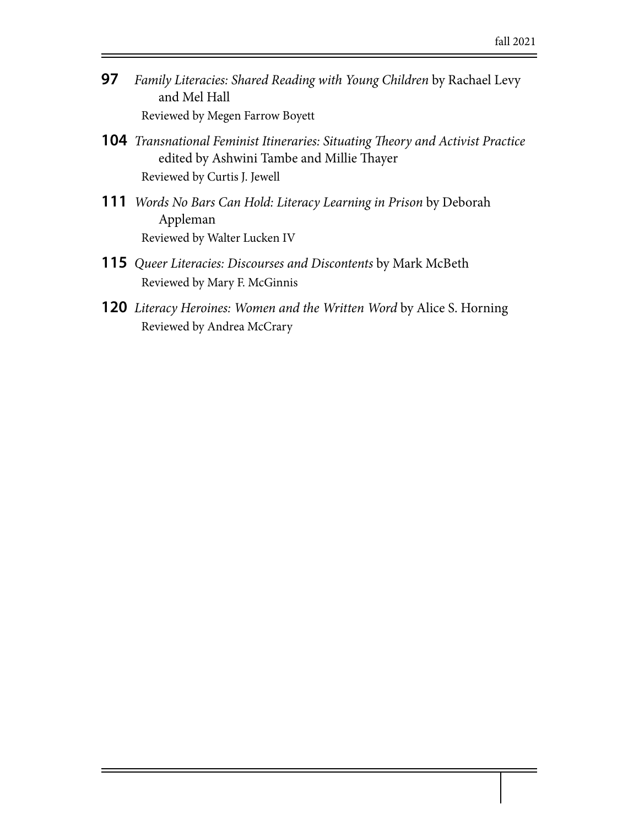- **97** *Family Literacies: Shared Reading with Young Children* by Rachael Levy and Mel Hall Reviewed by Megen Farrow Boyett
- **104** *Transnational Feminist Itineraries: Situating* !*eory and Activist Practice* edited by Ashwini Tambe and Millie Thayer Reviewed by Curtis J. Jewell
- **111** *Words No Bars Can Hold: Literacy Learning in Prison* by Deborah Appleman Reviewed by Walter Lucken IV
- **115** *Queer Literacies: Discourses and Discontents* by Mark McBeth Reviewed by Mary F. McGinnis
- **120** *Literacy Heroines: Women and the Written Word* by Alice S. Horning Reviewed by Andrea McCrary